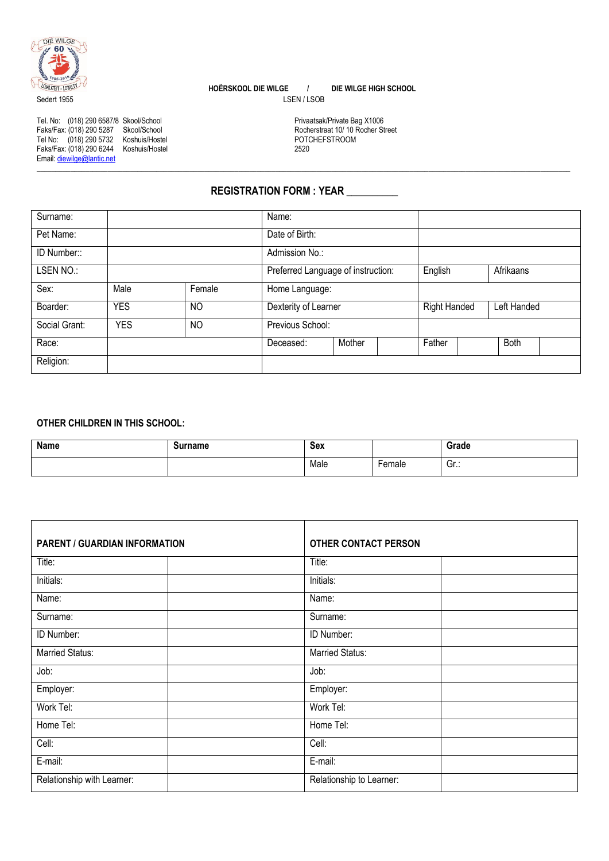

 **HOËRSKOOL DIE WILGE / DIE WILGE HIGH SCHOOL** Sedert 1955 LSEN / LSOB

**\_\_\_\_\_\_\_\_\_\_\_\_\_\_\_\_\_\_\_\_\_\_\_\_\_\_\_\_\_\_\_\_\_\_\_\_\_\_\_\_\_\_\_\_\_\_\_\_\_\_\_\_\_\_\_\_\_\_\_\_\_\_\_\_\_\_\_\_\_\_\_\_\_\_\_\_\_\_\_\_\_\_\_\_\_\_\_\_\_\_\_\_\_\_\_\_\_\_\_\_\_\_\_\_\_\_\_\_\_\_\_\_\_\_\_\_\_\_\_\_\_\_\_\_\_\_\_\_\_\_\_\_\_\_\_\_\_\_\_\_\_\_\_**

Tel. No: (018) 290 6587/8 Skool/School Privaatsak/Private Bag X1006 Faks/Fax: (018) 290 5287 Skool/School Rocherstraat 10/ 10 Rocher Street Tel No: (018) 290 5732 Koshuis/Hostel POTCHEFSTROOM Tel. No: (018) 290 6587/8 Skool/School<br>
Faks/Fax: (018) 290 5287 Skool/School<br>
Tel No: (018) 290 5732 Koshuis/Hostel 2520 POTCHEFSTROOM<br>
Faks/Fax: (018) 290 6244 Koshuis/Hostel<br>
Faks/Fax: (018) 290 6244 Koshuis/Hostel 2520 Email: diewilge@lantic.net

**REGISTRATION FORM : YEAR \_\_\_\_\_\_\_\_\_\_**

| Surname:      |            |                | Name:                              |        |                     |             |
|---------------|------------|----------------|------------------------------------|--------|---------------------|-------------|
| Pet Name:     |            |                | Date of Birth:                     |        |                     |             |
| ID Number::   |            |                | Admission No.:                     |        |                     |             |
| LSEN NO.:     |            |                | Preferred Language of instruction: |        | English             | Afrikaans   |
| Sex:          | Male       | Female         | Home Language:                     |        |                     |             |
| Boarder:      | <b>YES</b> | N <sub>O</sub> | Dexterity of Learner               |        | <b>Right Handed</b> | Left Handed |
| Social Grant: | <b>YES</b> | NO             | Previous School:                   |        |                     |             |
| Race:         |            |                | Deceased:                          | Mother | Father              | <b>Both</b> |
| Religion:     |            |                |                                    |        |                     |             |

## **OTHER CHILDREN IN THIS SCHOOL:**

| Name | Surname | Sex  |               | Grade    |
|------|---------|------|---------------|----------|
|      |         | Male | <b>Lemale</b> | . .<br>ט |

| <b>PARENT / GUARDIAN INFORMATION</b> |  | <b>OTHER CONTACT PERSON</b> |  |
|--------------------------------------|--|-----------------------------|--|
| Title:                               |  | Title:                      |  |
| Initials:                            |  | Initials:                   |  |
| Name:                                |  | Name:                       |  |
| Surname:                             |  | Surname:                    |  |
| ID Number:                           |  | ID Number:                  |  |
| Married Status:                      |  | <b>Married Status:</b>      |  |
| Job:                                 |  | Job:                        |  |
| Employer:                            |  | Employer:                   |  |
| Work Tel:                            |  | Work Tel:                   |  |
| Home Tel:                            |  | Home Tel:                   |  |
| Cell:                                |  | Cell:                       |  |
| E-mail:                              |  | E-mail:                     |  |
| Relationship with Learner:           |  | Relationship to Learner:    |  |